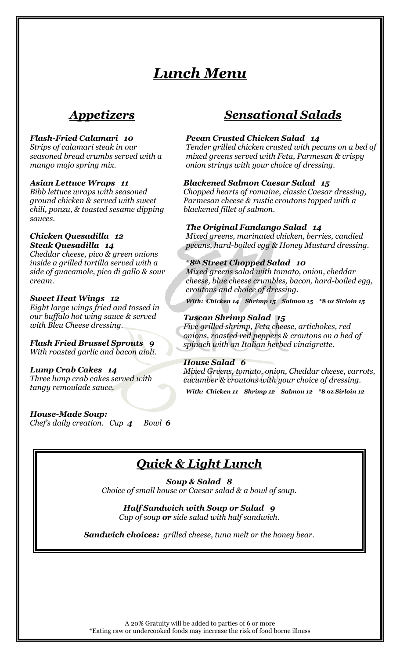# *Lunch Menu*

### *Appetizers*

### *Flash-Fried Calamari 10*

*Strips of calamari steak in our seasoned bread crumbs served with a mango mojo spring mix.*

### *Asian Lettuce Wraps 11*

*Bibb lettuce wraps with seasoned ground chicken & served with sweet chili, ponzu, & toasted sesame dipping sauces.*

#### *Chicken Quesadilla 12 Steak Quesadilla 14*

*Cheddar cheese, pico & green onions inside a grilled tortilla served with a side of guacamole, pico di gallo & sour cream.*

### *Sweet Heat Wings 12*

*Eight large wings fried and tossed in our buffalo hot wing sauce & served with Bleu Cheese dressing.*

### *Flash Fried Brussel Sprouts 9 With roasted garlic and bacon aioli.*

*Lump Crab Cakes 14 Three lump crab cakes served with tangy remoulade sauce.*

*House-Made Soup: Chef's daily creation. Cup 4 Bowl 6*

### *Sensational Salads*

### *Pecan Crusted Chicken Salad 14*

*Tender grilled chicken crusted with pecans on a bed of mixed greens served with Feta, Parmesan & crispy onion strings with your choice of dressing.*

### *Blackened Salmon Caesar Salad 15*

*Chopped hearts of romaine, classic Caesar dressing, Parmesan cheese & rustic croutons topped with a blackened fillet of salmon.*

### *The Original Fandango Salad 14*

*Mixed greens, marinated chicken, berries, candied pecans, hard-boiled egg & Honey Mustard dressing.*

### \**8th Street Chopped Salad 10*

*Mixed greens salad with tomato, onion, cheddar cheese, blue cheese crumbles, bacon, hard-boiled egg, croutons and choice of dressing.*

*With: Chicken 14 Shrimp 15 Salmon 15* **\*8 oz** *Sirloin 15*

### *Tuscan Shrimp Salad 15*

*Five grilled shrimp, Feta cheese, artichokes, red onions, roasted red peppers & croutons on a bed of spinach with an Italian herbed vinaigrette.*

### *House Salad 6*

*Mixed Greens, tomato, onion, Cheddar cheese, carrots, cucumber & croutons with your choice of dressing. With: Chicken 11 Shrimp 12 Salmon 12* **\*8 oz** *Sirloin 12*

## *Quick & Light Lunch*

*Soup & Salad 8 Choice of small house or Caesar salad & a bowl of soup.*

### *Half Sandwich with Soup or Salad 9*

*Cup of soup or side salad with half sandwich.*

*Sandwich choices: grilled cheese, tuna melt or the honey bear.*

A 20% Gratuity will be added to parties of 6 or more \*Eating raw or undercooked foods may increase the risk of food borne illness